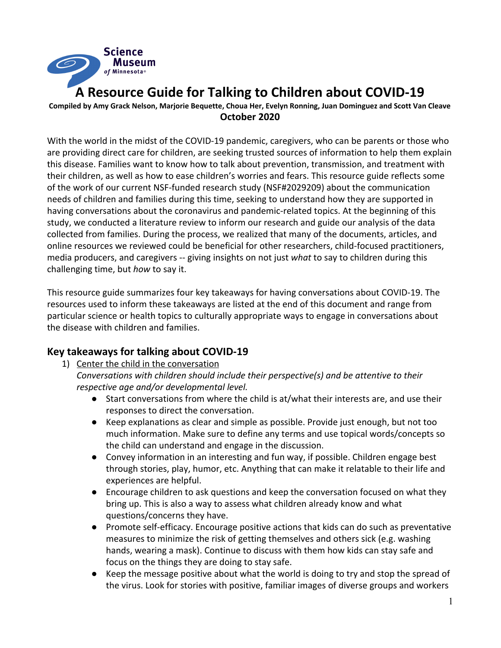

**A Resource Guide for Talking to Children about COVID-19**

Compiled by Amy Grack Nelson, Marjorie Bequette, Choua Her, Evelyn Ronning, Juan Dominguez and Scott Van Cleave **October 2020**

With the world in the midst of the COVID-19 pandemic, caregivers, who can be parents or those who are providing direct care for children, are seeking trusted sources of information to help them explain this disease. Families want to know how to talk about prevention, transmission, and treatment with their children, as well as how to ease children's worries and fears. This resource guide reflects some of the work of our current NSF-funded research study (NSF#2029209) about the communication needs of children and families during this time, seeking to understand how they are supported in having conversations about the coronavirus and pandemic-related topics. At the beginning of this study, we conducted a literature review to inform our research and guide our analysis of the data collected from families. During the process, we realized that many of the documents, articles, and online resources we reviewed could be beneficial for other researchers, child-focused practitioners, media producers, and caregivers -- giving insights on not just *what* to say to children during this challenging time, but *how* to say it.

This resource guide summarizes four key takeaways for having conversations about COVID-19. The resources used to inform these takeaways are listed at the end of this document and range from particular science or health topics to culturally appropriate ways to engage in conversations about the disease with children and families.

## **Key takeaways for talking about COVID-19**

- 1) Center the child in the conversation
	- *Conversations with children should include their perspective(s) and be attentive to their respective age and/or developmental level.*
		- Start conversations from where the child is at/what their interests are, and use their responses to direct the conversation.
		- Keep explanations as clear and simple as possible. Provide just enough, but not too much information. Make sure to define any terms and use topical words/concepts so the child can understand and engage in the discussion.
		- Convey information in an interesting and fun way, if possible. Children engage best through stories, play, humor, etc. Anything that can make it relatable to their life and experiences are helpful.
		- Encourage children to ask questions and keep the conversation focused on what they bring up. This is also a way to assess what children already know and what questions/concerns they have.
		- Promote self-efficacy. Encourage positive actions that kids can do such as preventative measures to minimize the risk of getting themselves and others sick (e.g. washing hands, wearing a mask). Continue to discuss with them how kids can stay safe and focus on the things they are doing to stay safe.
		- Keep the message positive about what the world is doing to try and stop the spread of the virus. Look for stories with positive, familiar images of diverse groups and workers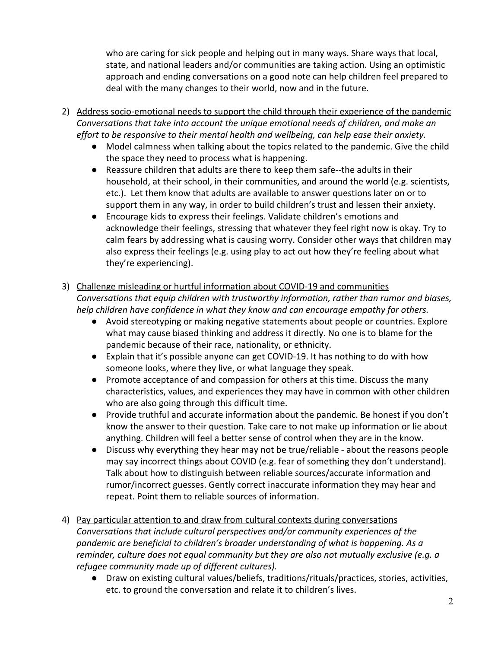who are caring for sick people and helping out in many ways. Share ways that local, state, and national leaders and/or communities are taking action. Using an optimistic approach and ending conversations on a good note can help children feel prepared to deal with the many changes to their world, now and in the future.

- 2) Address socio-emotional needs to support the child through their experience of the pandemic *Conversations that take into account the unique emotional needs of children, and make an effort to be responsive to their mental health and wellbeing, can help ease their anxiety.*
	- Model calmness when talking about the topics related to the pandemic. Give the child the space they need to process what is happening.
	- Reassure children that adults are there to keep them safe--the adults in their household, at their school, in their communities, and around the world (e.g. scientists, etc.). Let them know that adults are available to answer questions later on or to support them in any way, in order to build children's trust and lessen their anxiety.
	- Encourage kids to express their feelings. Validate children's emotions and acknowledge their feelings, stressing that whatever they feel right now is okay. Try to calm fears by addressing what is causing worry. Consider other ways that children may also express their feelings (e.g. using play to act out how they're feeling about what they're experiencing).
- 3) Challenge misleading or hurtful information about COVID-19 and communities *Conversations that equip children with trustworthy information, rather than rumor and biases, help children have confidence in what they know and can encourage empathy for others.*
	- Avoid stereotyping or making negative statements about people or countries. Explore what may cause biased thinking and address it directly. No one is to blame for the pandemic because of their race, nationality, or ethnicity.
	- Explain that it's possible anyone can get COVID-19. It has nothing to do with how someone looks, where they live, or what language they speak.
	- Promote acceptance of and compassion for others at this time. Discuss the many characteristics, values, and experiences they may have in common with other children who are also going through this difficult time.
	- Provide truthful and accurate information about the pandemic. Be honest if you don't know the answer to their question. Take care to not make up information or lie about anything. Children will feel a better sense of control when they are in the know.
	- Discuss why everything they hear may not be true/reliable about the reasons people may say incorrect things about COVID (e.g. fear of something they don't understand). Talk about how to distinguish between reliable sources/accurate information and rumor/incorrect guesses. Gently correct inaccurate information they may hear and repeat. Point them to reliable sources of information.
- 4) Pay particular attention to and draw from cultural contexts during conversations *Conversations that include cultural perspectives and/or community experiences of the pandemic are beneficial to children's broader understanding of what is happening. As a reminder, culture does not equal community but they are also not mutually exclusive (e.g. a refugee community made up of different cultures).*
	- Draw on existing cultural values/beliefs, traditions/rituals/practices, stories, activities, etc. to ground the conversation and relate it to children's lives.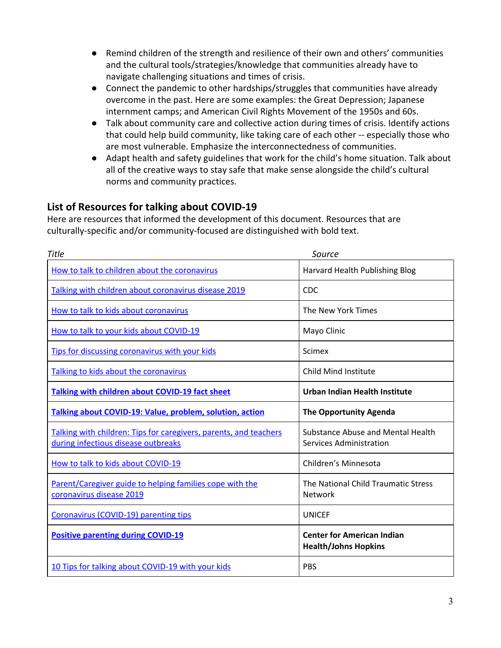- Remind children of the strength and resilience of their own and others' communities and the cultural tools/strategies/knowledge that communities already have to navigate challenging situations and times of crisis.
- Connect the pandemic to other hardships/struggles that communities have already overcome in the past. Here are some examples: the Great Depression; Japanese internment camps; and American Civil Rights Movement of the 1950s and 60s.
- Talk about community care and collective action during times of crisis. Identify actions that could help build community, like taking care of each other -- especially those who are most vulnerable. Emphasize the interconnectedness of communities.
- Adapt health and safety guidelines that work for the child's home situation. Talk about all of the creative ways to stay safe that make sense alongside the child's cultural norms and community practices.

## **List of Resources for talking about COVID-19**

Here are resources that informed the development of this document. Resources that are culturally-specific and/or community-focused are distinguished with bold text.

| <b>Title</b>                                                                                             | Source                                                              |
|----------------------------------------------------------------------------------------------------------|---------------------------------------------------------------------|
| How to talk to children about the coronavirus                                                            | Harvard Health Publishing Blog                                      |
| Talking with children about coronavirus disease 2019                                                     | <b>CDC</b>                                                          |
| How to talk to kids about coronavirus                                                                    | The New York Times                                                  |
| How to talk to your kids about COVID-19                                                                  | Mayo Clinic                                                         |
| Tips for discussing coronavirus with your kids                                                           | <b>Scimex</b>                                                       |
| Talking to kids about the coronavirus                                                                    | Child Mind Institute                                                |
| <b>Talking with children about COVID-19 fact sheet</b>                                                   | Urban Indian Health Institute                                       |
| Talking about COVID-19: Value, problem, solution, action                                                 | <b>The Opportunity Agenda</b>                                       |
| Talking with children: Tips for caregivers, parents, and teachers<br>during infectious disease outbreaks | Substance Abuse and Mental Health<br><b>Services Administration</b> |
| How to talk to kids about COVID-19                                                                       | Children's Minnesota                                                |
| Parent/Caregiver guide to helping families cope with the<br>coronavirus disease 2019                     | The National Child Traumatic Stress<br><b>Network</b>               |
| Coronavirus (COVID-19) parenting tips                                                                    | <b>UNICEF</b>                                                       |
| <b>Positive parenting during COVID-19</b>                                                                | <b>Center for American Indian</b><br><b>Health/Johns Hopkins</b>    |
| 10 Tips for talking about COVID-19 with your kids                                                        | <b>PBS</b>                                                          |